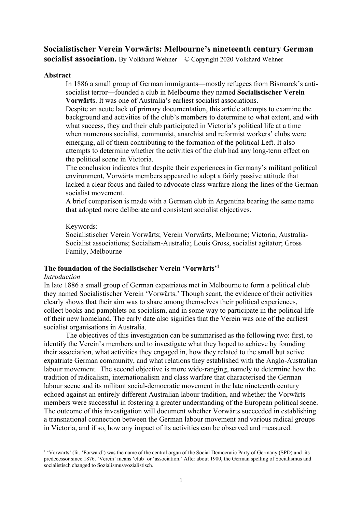# **Socialistischer Verein Vorwärts: Melbourne's nineteenth century German**

**socialist association.** By Volkhard Wehner © Copyright 2020 Volkhard Wehner

# **Abstract**

In 1886 a small group of German immigrants—mostly refugees from Bismarck's antisocialist terror—founded a club in Melbourne they named **Socialistischer Verein Vorwärt**s. It was one of Australia's earliest socialist associations.

Despite an acute lack of primary documentation, this article attempts to examine the background and activities of the club's members to determine to what extent, and with what success, they and their club participated in Victoria's political life at a time when numerous socialist, communist, anarchist and reformist workers' clubs were emerging, all of them contributing to the formation of the political Left. It also attempts to determine whether the activities of the club had any long-term effect on the political scene in Victoria.

The conclusion indicates that despite their experiences in Germany's militant political environment, Vorwärts members appeared to adopt a fairly passive attitude that lacked a clear focus and failed to advocate class warfare along the lines of the German socialist movement.

A brief comparison is made with a German club in Argentina bearing the same name that adopted more deliberate and consistent socialist objectives.

Keywords:

Socialistischer Verein Vorwärts; Verein Vorwärts, Melbourne; Victoria, Australia-Socialist associations; Socialism-Australia; Louis Gross, socialist agitator; Gross Family, Melbourne

# **The foundation of the Socialistischer Verein 'Vorwärts'1**

## *Introduction*

In late 1886 a small group of German expatriates met in Melbourne to form a political club they named Socialistischer Verein 'Vorwärts.' Though scant, the evidence of their activities clearly shows that their aim was to share among themselves their political experiences, collect books and pamphlets on socialism, and in some way to participate in the political life of their new homeland. The early date also signifies that the Verein was one of the earliest socialist organisations in Australia.

The objectives of this investigation can be summarised as the following two: first, to identify the Verein's members and to investigate what they hoped to achieve by founding their association, what activities they engaged in, how they related to the small but active expatriate German community, and what relations they established with the Anglo-Australian labour movement. The second objective is more wide-ranging, namely to determine how the tradition of radicalism, internationalism and class warfare that characterised the German labour scene and its militant social-democratic movement in the late nineteenth century echoed against an entirely different Australian labour tradition, and whether the Vorwärts members were successful in fostering a greater understanding of the European political scene. The outcome of this investigation will document whether Vorwärts succeeded in establishing a transnational connection between the German labour movement and various radical groups in Victoria, and if so, how any impact of its activities can be observed and measured.

<sup>1</sup> 'Vorwärts' (lit. 'Forward') was the name of the central organ of the Social Democratic Party of Germany (SPD) and its predecessor since 1876. 'Verein' means 'club' or 'association.' After about 1900, the German spelling of Socialismus and socialistisch changed to Sozialismus/sozialistisch.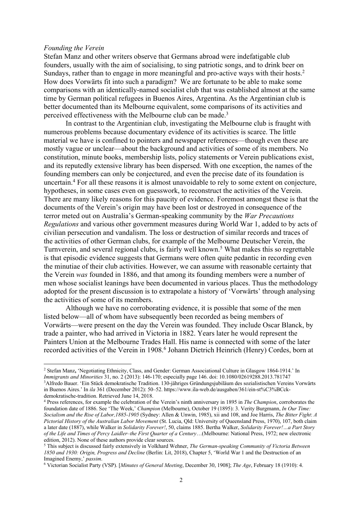#### *Founding the Verein*

Stefan Manz and other writers observe that Germans abroad were indefatigable club founders, usually with the aim of socialising, to sing patriotic songs, and to drink beer on Sundays, rather than to engage in more meaningful and pro-active ways with their hosts.<sup>2</sup> How does Vorwärts fit into such a paradigm? We are fortunate to be able to make some comparisons with an identically-named socialist club that was established almost at the same time by German political refugees in Buenos Aires, Argentina. As the Argentinian club is better documented than its Melbourne equivalent, some comparisons of its activities and perceived effectiveness with the Melbourne club can be made.<sup>3</sup>

In contrast to the Argentinian club, investigating the Melbourne club is fraught with numerous problems because documentary evidence of its activities is scarce. The little material we have is confined to pointers and newspaper references—though even these are mostly vague or unclear—about the background and activities of some of its members. No constitution, minute books, membership lists, policy statements or Verein publications exist, and its reputedly extensive library has been dispersed. With one exception, the names of the founding members can only be conjectured, and even the precise date of its foundation is uncertain.4 For all these reasons it is almost unavoidable to rely to some extent on conjecture, hypotheses, in some cases even on guesswork, to reconstruct the activities of the Verein. There are many likely reasons for this paucity of evidence. Foremost amongst these is that the documents of the Verein's origin may have been lost or destroyed in consequence of the terror meted out on Australia's German-speaking community by the *War Precautions Regulations* and various other government measures during World War 1, added to by acts of civilian persecution and vandalism. The loss or destruction of similar records and traces of the activities of other German clubs, for example of the Melbourne Deutscher Verein, the Turnverein, and several regional clubs, is fairly well known. <sup>5</sup> What makes this so regrettable is that episodic evidence suggests that Germans were often quite pedantic in recording even the minutiae of their club activities. However, we can assume with reasonable certainty that the Verein *was* founded in 1886, and that among its founding members were a number of men whose socialist leanings have been documented in various places. Thus the methodology adopted for the present discussion is to extrapolate a history of 'Vorwärts' through analysing the activities of some of its members.

Although we have no corroborating evidence, it is possible that some of the men listed below—all of whom have subsequently been recorded as being members of Vorwärts—were present on the day the Verein was founded. They include Oscar Blanck, by trade a painter, who had arrived in Victoria in 1882. Years later he would represent the Painters Union at the Melbourne Trades Hall. His name is connected with some of the later recorded activities of the Verein in 1908.<sup>6</sup> Johann Dietrich Heinrich (Henry) Cordes, born at

<sup>2</sup> Stefan Manz**,** 'Negotiating Ethnicity, Class, and Gender: German Associational Culture in Glasgow 1864-1914.' In *Immigrants and Minorities* 31, no. 2 (2013): 146-170; especially page 146. doi: 10.1080/02619288.2013.781747 3Alfredo Bauer. 'Ein Stück demokratische Tradition. 130-jähriges Gründungsjubiläum des sozialistischen Vereins Vorwärts in Buenos Aires.' In *ila* 361 (December 2012): 50–52. https://www.ila-web.de/ausgaben/361/ein-st%C3%BCckdemokratische-tradition. Retrieved June 14, 2018.

<sup>4</sup> Press references, for example the celebration of the Verein's ninth anniversary in 1895 in *The Champion*, corroborates the foundation date of 1886. See 'The Week,' *Champion* (Melbourne), October 19 (1895): 3. Verity Burgmann, *In Our Time: Socialism and the Rise of Labor,1885-1905* (Sydney: Allen & Unwin, 1985), xii and 108, and Joe Harris, *The Bitter Fight*: *A Pictorial History of the Australian Labor Movement* (St. Lucia, Qld: University of Queensland Press, 1970), 107, both claim a later date (1887), while Walker in *Solidarity Forever!*, 50, claims 1885. Bertha Walker, *Solidarity Forever!…a Part Story of the Life and Times of Percy Laidler–the First Quarter of a Century*…(Melbourne: National Press, 1972; new electronic edition, 2012). None of these authors provide clear sources.

<sup>5</sup> This subject is discussed fairly extensively in Volkhard Wehner, *The German-speaking Community of Victoria Between 1850 and 1930: Origin, Progress and Decline* (Berlin: Lit, 2018), Chapter 5, 'World War 1 and the Destruction of an Imagined Enemy,' *passim*.

<sup>6</sup> Victorian Socialist Party (VSP). [*Minutes of General Meeting*, December 30, 1908]; *The Age*, February 18 (1910): 4.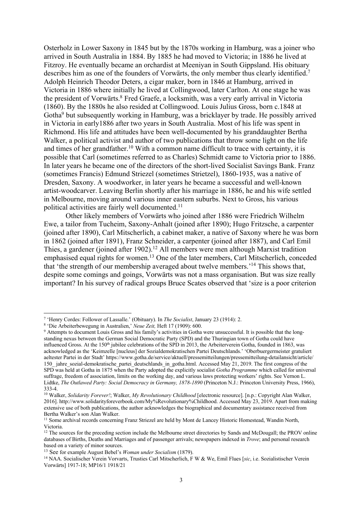Osterholz in Lower Saxony in 1845 but by the 1870s working in Hamburg, was a joiner who arrived in South Australia in 1884. By 1885 he had moved to Victoria; in 1886 he lived at Fitzroy. He eventually became an orchardist at Meeniyan in South Gippsland. His obituary describes him as one of the founders of Vorwärts, the only member thus clearly identified.<sup>7</sup> Adolph Heinrich Theodor Deters, a cigar maker, born in 1846 at Hamburg, arrived in Victoria in 1886 where initially he lived at Collingwood, later Carlton. At one stage he was the president of Vorwärts.<sup>8</sup> Fred Graefe, a locksmith, was a very early arrival in Victoria (1860). By the 1880s he also resided at Collingwood. Louis Julius Gross, born c.1848 at Gotha<sup>9</sup> but subsequently working in Hamburg, was a bricklayer by trade. He possibly arrived in Victoria in early1886 after two years in South Australia. Most of his life was spent in Richmond. His life and attitudes have been well-documented by his granddaughter Bertha Walker, a political activist and author of two publications that throw some light on the life and times of her grandfather.<sup>10</sup> With a common name difficult to trace with certainty, it is possible that Carl (sometimes referred to as Charles) Schmidt came to Victoria prior to 1886. In later years he became one of the directors of the short-lived Socialist Savings Bank. Franz (sometimes Francis) Edmund Striezel (sometimes Strietzel), 1860-1935, was a native of Dresden, Saxony. A woodworker, in later years he became a successful and well-known artist-woodcarver. Leaving Berlin shortly after his marriage in 1886, he and his wife settled in Melbourne, moving around various inner eastern suburbs. Next to Gross, his various political activities are fairly well documented.<sup>11</sup>

Other likely members of Vorwärts who joined after 1886 were Friedrich Wilhelm Ewe, a tailor from Tucheim, Saxony-Anhalt (joined after 1890); Hugo Fritzsche, a carpenter (joined after 1890), Carl Mitscherlich, a cabinet maker, a native of Saxony where he was born in 1862 (joined after 1891), Franz Schneider, a carpenter (joined after 1887), and Carl Emil Thies, a gardener (joined after 1902).<sup>12</sup> All members were men although Marxist tradition emphasised equal rights for women.<sup>13</sup> One of the later members, Carl Mitscherlich, conceded that 'the strength of our membership averaged about twelve members.'14 This shows that, despite some comings and goings, Vorwärts was not a mass organisation. But was size really important? In his survey of radical groups Bruce Scates observed that 'size is a poor criterion

<sup>7</sup> 'Henry Cordes: Follower of Lassalle.' (Obituary). In *The Socialist*, January 23 (1914): 2.

<sup>8</sup> 'Die Arbeiterbewegung in Australien,' *Neue Zeit,* Heft 17 (1909): 600.

<sup>&</sup>lt;sup>9</sup> Attempts to document Louis Gross and his family's activities in Gotha were unsuccessful. It is possible that the longstanding nexus between the German Social Democratic Party (SPD) and the Thuringian town of Gotha could have influenced Gross. At the 150<sup>th</sup> jubilee celebrations of the SPD in 2013, the Arbeiterverein Gotha, founded in 1863, was acknowledged as the 'Keimzelle [nucleus] der Sozialdemokratischen Partei Deutschlands.' 'Oberbuergermeister gratuliert aeltester Partei in der Stadt' https://www.gotha.de/service/aktuell/pressemitteilungen/pressemitteilung-detailansicht/article/ 150 jahre sozial-demokratische partei deutschlands in gotha.html. Accessed May 21, 2019. The first congress of the SPD was held at Gotha in 1875 when the Party adopted the explicitly socialist *Gotha Programme* which called for universal suffrage, freedom of association, limits on the working day, and various laws protecting workers' rights. See Vernon L. Lidtke, *The Outlawed Party: Social Democracy in Germany, 1878-1890* (Princeton N.J.: Princeton University Press, 1966), 333-4.

<sup>10</sup> Walker, *Solidarity Forever!*; Walker, *My Revolutionary Childhood* [electronic resource]. [n.p.: Copyright Alan Walker, 2016]. http://www.solidarityforeverbook.com/My%Revolutionary%Childhood. Accessed May 23, 2019. Apart from making extensive use of both publications, the author acknowledges the biographical and documentary assistance received from Bertha Walker's son Alan Walker.

<sup>&</sup>lt;sup>11</sup> Some archival records concerning Franz Striezel are held by Mont de Lancey Historic Homestead, Wandin North, Victoria.

<sup>&</sup>lt;sup>12</sup> The sources for the preceding section include the Melbourne street directories by Sands and McDougall; the PROV online databases of Births, Deaths and Marriages and of passenger arrivals; newspapers indexed in *Trove*; and personal research based on a variety of minor sources.

<sup>13</sup> See for example August Bebel's *Woman under Socialism* (1879).

<sup>14</sup> NAA. Socialischer Verein Vorvarts, Trusties Carl Mitscherlich, F W & We, Emil Flues [*sic*, i.e. Sozialistischer Verein Vorwärts] 1917-18; MP16/1 1918/21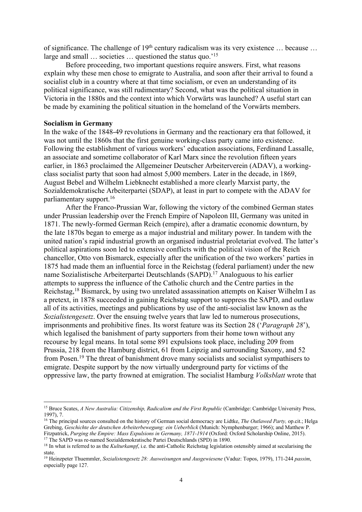of significance. The challenge of  $19<sup>th</sup>$  century radicalism was its very existence ... because ... large and small ... societies ... questioned the status quo.'<sup>15</sup>

Before proceeding, two important questions require answers. First, what reasons explain why these men chose to emigrate to Australia, and soon after their arrival to found a socialist club in a country where at that time socialism, or even an understanding of its political significance, was still rudimentary? Second, what was the political situation in Victoria in the 1880s and the context into which Vorwärts was launched? A useful start can be made by examining the political situation in the homeland of the Vorwärts members.

### **Socialism in Germany**

In the wake of the 1848-49 revolutions in Germany and the reactionary era that followed, it was not until the 1860s that the first genuine working-class party came into existence. Following the establishment of various workers' education associations, Ferdinand Lassalle, an associate and sometime collaborator of Karl Marx since the revolution fifteen years earlier, in 1863 proclaimed the Allgemeiner Deutscher Arbeiterverein (ADAV), a workingclass socialist party that soon had almost 5,000 members. Later in the decade, in 1869, August Bebel and Wilhelm Liebknecht established a more clearly Marxist party, the Sozialdemokratische Arbeiterpartei (SDAP), at least in part to compete with the ADAV for parliamentary support.16

After the Franco-Prussian War, following the victory of the combined German states under Prussian leadership over the French Empire of Napoleon III, Germany was united in 1871. The newly-formed German Reich (empire), after a dramatic economic downturn, by the late 1870s began to emerge as a major industrial and military power. In tandem with the united nation's rapid industrial growth an organised industrial proletariat evolved. The latter's political aspirations soon led to extensive conflicts with the political vision of the Reich chancellor, Otto von Bismarck, especially after the unification of the two workers' parties in 1875 had made them an influential force in the Reichstag (federal parliament) under the new name Sozialistische Arbeiterpartei Deutschlands (SAPD).<sup>17</sup> Analoguous to his earlier attempts to suppress the influence of the Catholic church and the Centre parties in the Reichstag,18 Bismarck, by using two unrelated assassination attempts on Kaiser Wilhelm I as a pretext, in 1878 succeeded in gaining Reichstag support to suppress the SAPD, and outlaw all of its activities, meetings and publications by use of the anti-socialist law known as the *Sozialistengesetz*. Over the ensuing twelve years that law led to numerous prosecutions, imprisonments and prohibitive fines. Its worst feature was its Section 28 ('*Paragraph 28*'), which legalised the banishment of party supporters from their home town without any recourse by legal means. In total some 891 expulsions took place, including 209 from Prussia, 218 from the Hamburg district, 61 from Leipzig and surrounding Saxony, and 52 from Posen.<sup>19</sup> The threat of banishment drove many socialists and socialist sympathisers to emigrate. Despite support by the now virtually underground party for victims of the oppressive law, the party frowned at emigration. The socialist Hamburg *Volksblatt* wrote that

<sup>17</sup> The SAPD was re-named Sozialdemokratische Partei Deutschlands (SPD) in 1890.

<sup>&</sup>lt;sup>15</sup> Bruce Scates, *A New Australia: Citizenship, Radicalism and the First Republic* (Cambridge: Cambridge University Press, 1997), 7.

<sup>16</sup> The principal sources consulted on the history of German social democracy are Lidtke, *The Outlawed Party,* op.cit.; Helga Grebing, *Geschichte der deutschen Arbeiterbewegung: ein Ueberblick* (Munich: Nymphenburger; 1966); and Matthew P. Fitzpatrick, *Purging the Empire: Mass Expulsions in Germany, 1871-1914* (Oxford: Oxford Scholarship Online, 2015).

<sup>&</sup>lt;sup>18</sup> In what is referred to as the *Kulturkampf*, i.e. the anti-Catholic Reichstag legislation ostensibly aimed at secularising the state.

<sup>19</sup> Heinzpeter Thuemmler, *Sozialistengesetz 28: Ausweisungen und Ausgewiesene* (Vaduz: Topos, 1979), 171-244 *passim*, especially page 127.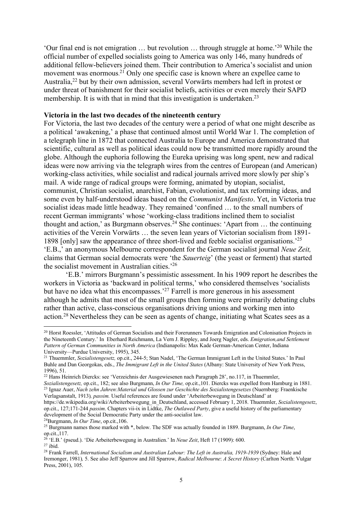'Our final end is not emigration … but revolution … through struggle at home.' <sup>20</sup> While the official number of expelled socialists going to America was only 146, many hundreds of additional fellow-believers joined them. Their contribution to America's socialist and union movement was enormous.<sup>21</sup> Only one specific case is known where an expellee came to Australia,22 but by their own admission, several Vorwärts members had left in protest or under threat of banishment for their socialist beliefs, activities or even merely their SAPD membership. It is with that in mind that this investigation is undertaken.<sup>23</sup>

### **Victoria in the last two decades of the nineteenth century**

For Victoria, the last two decades of the century were a period of what one might describe as a political 'awakening,' a phase that continued almost until World War 1. The completion of a telegraph line in 1872 that connected Australia to Europe and America demonstrated that scientific, cultural as well as political ideas could now be transmitted more rapidly around the globe. Although the euphoria following the Eureka uprising was long spent, new and radical ideas were now arriving via the telegraph wires from the centres of European (and American) working-class activities, while socialist and radical journals arrived more slowly per ship's mail. A wide range of radical groups were forming, animated by utopian, socialist, communist, Christian socialist, anarchist, Fabian, evolutionist, and tax reforming ideas, and some even by half-understood ideas based on the *Communist Manifesto*. Yet, in Victoria true socialist ideas made little headway. They remained 'confined … to the small numbers of recent German immigrants' whose 'working-class traditions inclined them to socialist thought and action,' as Burgmann observes.<sup>24</sup> She continues: 'Apart from ... the continuing activities of the Verein Vorwärts … the seven lean years of Victorian socialism from 1891- 1898 [only] saw the appearance of three short-lived and feeble socialist organisations.'25 'E.B.,' an anonymous Melbourne correspondent for the German socialist journal *Neue Zeit,* claims that German social democrats were 'the *Sauerteig*' (the yeast or ferment) that started the socialist movement in Australian cities.'26

'E.B.' mirrors Burgmann's pessimistic assessment. In his 1909 report he describes the workers in Victoria as 'backward in political terms,' who considered themselves 'socialists but have no idea what this encompasses.'27 Farrell is more generous in his assessment although he admits that most of the small groups then forming were primarily debating clubs rather than active, class-conscious organisations driving unions and working men into action.28 Nevertheless they can be seen as agents of change, initiating what Scates sees as a

24Burgmann, *In Our Time*, op.cit.,106.

<sup>&</sup>lt;sup>20</sup> Horst Roessler, 'Attitudes of German Socialists and their Forerunners Towards Emigration and Colonisation Projects in the Nineteenth Century.' In Eberhard Reichmann, La Vern J. Rippley, and Joerg Nagler, eds. *Emigration,and Settlement Pattern of German Communities in North America* (Indianapolis: Max Kade German-American Center, Indiana University—Purdue University, 1995), 345.

<sup>21</sup> Thuemmler, *Sozialistengesetz,* op.cit., 244-5; Stan Nadel, 'The German Immigrant Left in the United States.' In Paul Buhle and Dan Georgokas, eds., *The Immigrant Left in the United States* (Albany: State University of New York Press, 1996), 51.

<sup>22</sup> Hans Heinrich Diercks: see 'Verzeichnis der Ausgewiesenen nach Paragraph 28', no.117, in Thuemmler,

*Sozialistengesetz,* op.cit., 182; see also Burgmann, *In Our Time,* op.cit.,101. Diercks was expelled from Hamburg in 1881. <sup>23</sup> Ignaz Auer, *Nach zehn Jahren:Material und Glossen zur Geschichte des Sozialistengesetzes* (Nuernberg: Fraenkische Verlagsanstalt, 1913)*, passim.* Useful references are found under 'Arbeiterbewegung in Deutschland' at

https://de.wikipedia.org/wiki/Arbeiterbewegung\_in\_Deutschland, accessed February 1, 2018. Thuemmler, *Sozialistengesetz*, op.cit., 127;171-244 *passim*. Chapters vii-ix in Lidtke, *The Outlawed Party*, give a useful history of the parliamentary development of the Social Democratic Party under the anti-socialist law.

<sup>25</sup> Burgmann names those marked with \*, below. The SDF was actually founded in 1889. Burgmann, *In Our Time*, op.cit.,117.

<sup>26</sup> 'E.B.' (pseud.). 'Die Arbeiterbewegung in Australien.' In *Neue Zeit*, Heft 17 (1909): 600.  $27$  ibid.

<sup>28</sup> Frank Farrell, *International Socialism and Australian Labour: The Left in Australia, 1919-1939* (Sydney: Hale and Iremonger, 1981)*,* 5. See also Jeff Sparrow and Jill Sparrow, *Radical Melbourne*: *A Secret History* (Carlton North: Vulgar Press, 2001), 105.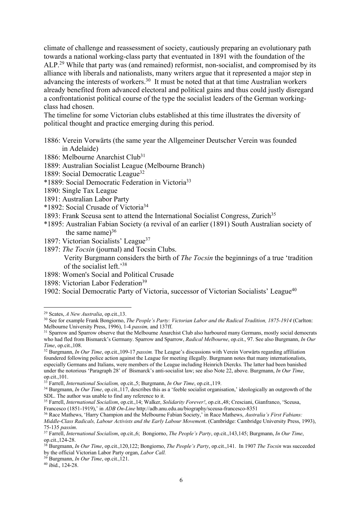climate of challenge and reassessment of society, cautiously preparing an evolutionary path towards a national working-class party that eventuated in 1891 with the foundation of the ALP.<sup>29</sup> While that party was (and remained) reformist, non-socialist, and compromised by its alliance with liberals and nationalists, many writers argue that it represented a major step in advancing the interests of workers.30 It must be noted that at that time Australian workers already benefited from advanced electoral and political gains and thus could justly disregard a confrontationist political course of the type the socialist leaders of the German workingclass had chosen.

The timeline for some Victorian clubs established at this time illustrates the diversity of political thought and practice emerging during this period.

1886: Verein Vorwärts (the same year the Allgemeiner Deutscher Verein was founded in Adelaide)

- 1886: Melbourne Anarchist Club<sup>31</sup>
- 1889: Australian Socialist League (Melbourne Branch)
- 1889: Social Democratic League<sup>32</sup>
- \*1889: Social Democratic Federation in Victoria33
- 1890: Single Tax League
- 1891: Australian Labor Party
- \*1892: Social Crusade of Victoria34
- 1893: Frank Sceusa sent to attend the International Socialist Congress, Zurich<sup>35</sup>
- \*1895: Australian Fabian Society (a revival of an earlier (1891) South Australian society of the same name) $36$
- 1897: Victorian Socialists' League<sup>37</sup>
- 1897: *The Tocsin* (journal) and Tocsin Clubs.

 Verity Burgmann considers the birth of *The Tocsin* the beginnings of a true 'tradition of the socialist left.'38

- 1898: Women's Social and Political Crusade
- 1898: Victorian Labor Federation<sup>39</sup>
- 1902: Social Democratic Party of Victoria, successor of Victorian Socialists' League<sup>40</sup>

<sup>29</sup> Scates, *A New Australia*, op.cit.,13.

<sup>&</sup>lt;sup>30</sup> See for example Frank Bongiorno, *The People's Party: Victorian Labor and the Radical Tradition, 1875-1914* (Carlton: Melbourne University Press, 1996), 1-4 *passim,* and 137ff.

<sup>&</sup>lt;sup>31</sup> Sparrow and Sparrow observe that the Melbourne Anarchist Club also harboured many Germans, mostly social democrats who had fled from Bismarck's Germany. Sparrow and Sparrow, *Radical Melbourne*, op.cit., 97. See also Burgmann, *In Our Time*, op.cit.,108.

<sup>32</sup> Burgmann, *In Our Time*, op.cit.,109-17 *passim.* The League's discussions with Verein Vorwärts regarding affiliation foundered following police action against the League for meeting illegally. Burgmann notes that many internationalists, especially Germans and Italians, were members of the League including Heinrich Diercks. The latter had been banished under the notorious 'Paragraph 28' of Bismarck's anti-socialist law; see also Note 22, above. Burgmann, *In Our Time*, op.cit.,101.

<sup>33</sup> Farrell, *International Socialism,* op.cit.,5; Burgmann, *In Our Time*, op.cit.,119.

<sup>&</sup>lt;sup>34</sup> Burgmann, *In Our Time*, op.cit.,117, describes this as a 'feeble socialist organisation,' ideologically an outgrowth of the SDL. The author was unable to find any reference to it.

<sup>35</sup> Farrell, *International Socialism*, op.cit.,14; Walker, *Solidarity Forever!*, op.cit.,48; Cresciani, Gianfranco, 'Sceusa, Francesco (1851-1919),' in *ADB On-Line* http://adb.anu.edu.au/biography/sceusa-francesco-8351

<sup>36</sup> Race Mathews, 'Harry Champion and the Melbourne Fabian Society,' in Race Mathews, *Australia's First Fabians: Middle-Class Radicals, Labour Activists and the Early Labour Movemen*t. (Cambridge: Cambridge University Press, 1993), 75-135 *passim*.

<sup>37</sup> Farrell, *International Socialism*, op.cit.,6; Bongiorno, *The People's Party*, op.cit.,143,145; Burgmann, *In Our Time*, op.cit.,124-28.

<sup>38</sup> Burgmann, *In Our Time*, op.cit.,120,122; Bongiorno, *The People's Party*, op.cit.,141. In 1907 *The Tocsin* was succeeded by the official Victorian Labor Party organ, *Labor Call.*

<sup>39</sup> Burgmann, *In Our Time*, op.cit.,121.

<sup>40</sup> ibid., 124-28.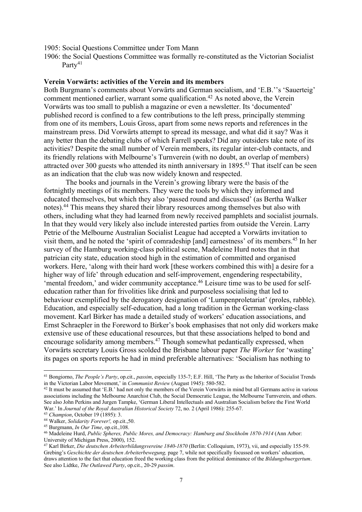1905: Social Questions Committee under Tom Mann

1906: the Social Questions Committee was formally re-constituted as the Victorian Socialist Party<sup>41</sup>

### **Verein Vorwärts: activities of the Verein and its members**

Both Burgmann's comments about Vorwärts and German socialism, and 'E.B.''s 'Sauerteig' comment mentioned earlier, warrant some qualification.<sup>42</sup> As noted above, the Verein Vorwärts was too small to publish a magazine or even a newsletter. Its 'documented' published record is confined to a few contributions to the left press, principally stemming from one of its members, Louis Gross, apart from some news reports and references in the mainstream press. Did Vorwärts attempt to spread its message, and what did it say? Was it any better than the debating clubs of which Farrell speaks? Did any outsiders take note of its activities? Despite the small number of Verein members, its regular inter-club contacts, and its friendly relations with Melbourne's Turnverein (with no doubt, an overlap of members) attracted over 300 guests who attended its ninth anniversary in 1895.<sup>43</sup> That itself can be seen as an indication that the club was now widely known and respected.

The books and journals in the Verein's growing library were the basis of the fortnightly meetings of its members. They were the tools by which they informed and educated themselves, but which they also 'passed round and discussed' (as Bertha Walker notes).44 This means they shared their library resources among themselves but also with others, including what they had learned from newly received pamphlets and socialist journals. In that they would very likely also include interested parties from outside the Verein. Larry Petrie of the Melbourne Australian Socialist League had accepted a Vorwärts invitation to visit them, and he noted the 'spirit of comradeship [and] earnestness' of its members.45 In her survey of the Hamburg working-class political scene, Madeleine Hurd notes that in that patrician city state, education stood high in the estimation of committed and organised workers. Here, 'along with their hard work [these workers combined this with] a desire for a higher way of life' through education and self-improvement, engendering respectability, 'mental freedom,' and wider community acceptance.<sup>46</sup> Leisure time was to be used for selfeducation rather than for frivolities like drink and purposeless socialising that led to behaviour exemplified by the derogatory designation of 'Lumpenproletariat' (proles, rabble). Education, and especially self-education, had a long tradition in the German working-class movement. Karl Birker has made a detailed study of workers' education associations, and Ernst Schraepler in the Foreword to Birker's book emphasises that not only did workers make extensive use of these educational resources, but that these associations helped to bond and encourage solidarity among members.<sup>47</sup> Though somewhat pedantically expressed, when Vorwärts secretary Louis Gross scolded the Brisbane labour paper *The Worker* for 'wasting' its pages on sports reports he had in mind preferable alternatives: 'Socialism has nothing to

<sup>41</sup> Bongiorno, *The People's Party*, op.cit., *passim*, especially 135-7; E.F. Hill, 'The Party as the Inheritor of Socialist Trends in the Victorian Labor Movement,' in *Communist Review* (August 1945): 580-582.

<sup>&</sup>lt;sup>42</sup> It must be assumed that 'E.B.' had not only the members of the Verein Vorwärts in mind but all Germans active in various associations including the Melbourne Anarchist Club, the Social Democratic League, the Melbourne Turnverein, and others. See also John Perkins and Jurgen Tampke, 'German Liberal Intellectuals and Australian Socialism before the First World War.' In *Journal of the Royal Australian Historical Society* 72, no. 2 (April 1986): 255-67. 43 *Champion*, October 19 (1895): 3.

<sup>44</sup> Walker, *Solidarity Forever!,* op.cit.,50.

<sup>&</sup>lt;sup>46</sup> Madeleine Hurd, *Public Spheres, Public Mores, and Democracy: Hamburg and Stockholm 1870-1914* (Ann Arbor: University of Michigan Press, 2000), 152.

<sup>47</sup> Karl Birker, *Die deutschen Arbeiterbildungsvereine 1840-1870* (Berlin: Colloquium, 1973), vii, and especially 155-59. Grebing's *Geschichte der deutschen Arbeiterbewegung,* page 7, while not specifically focussed on workers' education, draws attention to the fact that education freed the working class from the political dominance of the *Bildungsbuergertum*. See also Lidtke, *The Outlawed Party*, op.cit., 20-29 *passim*.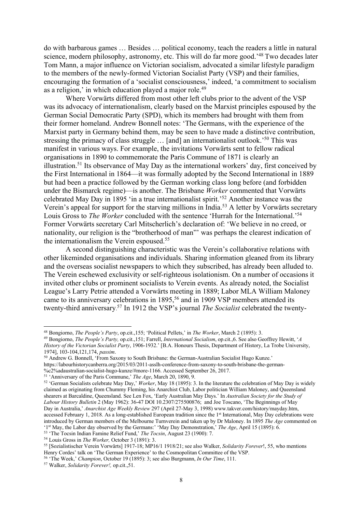do with barbarous games … Besides … political economy, teach the readers a little in natural science, modern philosophy, astronomy, etc. This will do far more good.<sup>'48</sup> Two decades later Tom Mann, a major influence on Victorian socialism, advocated a similar lifestyle paradigm to the members of the newly-formed Victorian Socialist Party (VSP) and their families, encouraging the formation of a 'socialist consciousness,' indeed, 'a commitment to socialism as a religion,' in which education played a major role.<sup>49</sup>

Where Vorwärts differed from most other left clubs prior to the advent of the VSP was its advocacy of internationalism, clearly based on the Marxist principles espoused by the German Social Democratic Party (SPD), which its members had brought with them from their former homeland. Andrew Bonnell notes: 'The Germans, with the experience of the Marxist party in Germany behind them, may be seen to have made a distinctive contribution, stressing the primacy of class struggle ... [and] an internationalist outlook.<sup>50</sup> This was manifest in various ways. For example, the invitations Vorwärts sent to fellow radical organisations in 1890 to commemorate the Paris Commune of 1871 is clearly an illustration.51 Its observance of May Day as the international workers' day, first conceived by the First International in 1864—it was formally adopted by the Second International in 1889 but had been a practice followed by the German working class long before (and forbidden under the Bismarck regime)—is another. The Brisbane *Worker* commented that Vorwärts celebrated May Day in 1895 'in a true internationalist spirit.'52 Another instance was the Verein's appeal for support for the starving millions in India.53 A letter by Vorwärts secretary Louis Gross to *The Worker* concluded with the sentence 'Hurrah for the International.'54 Former Vorwärts secretary Carl Mitscherlich's declaration of: 'We believe in no creed, or nationality, our religion is the "brotherhood of man"' was perhaps the clearest indication of the internationalism the Verein espoused.55

A second distinguishing characteristic was the Verein's collaborative relations with other likeminded organisations and individuals. Sharing information gleaned from its library and the overseas socialist newspapers to which they subscribed, has already been alluded to. The Verein eschewed exclusivity or self-righteous isolationism. On a number of occasions it invited other clubs or prominent socialists to Verein events. As already noted, the Socialist League's Larry Petrie attended a Vorwärts meeting in 1889; Labor MLA William Maloney came to its anniversary celebrations in 1895,<sup>56</sup> and in 1909 VSP members attended its twenty-third anniversary. <sup>57</sup> In 1912 the VSP's journal *The Socialist* celebrated the twenty-

https://labourhistorycanberra.org/2015/03/2011-asslh-conference-from-saxony-to-south-brisbane-the-german-

%c2%adaustralian-socialist-hugo-kunze/#more-1166. Accessed September 26, 2017.<br><sup>51</sup> 'Anniversary of the Paris Commune,' The Age, March 20, 1890, 9.

<sup>&</sup>lt;sup>48</sup> Bongiorno, *The People's Party*, op.cit.,155; 'Political Pellets,' in *The Worker*, March 2 (1895): 3.<br><sup>49</sup> Bongiorno, *The People's Party*, op.cit.,151; Farrell, *International Socialism*, op.cit.,6. See also Geoffre *History of the Victorian Socialist Party*, 1906-1932.' [B.A. Honours Thesis, Department of History, La Trobe University, 1974], 103-104,121,174, *passim*.

<sup>&</sup>lt;sup>50</sup> Andrew G. Bonnell, 'From Saxony to South Brisbane: the German-Australian Socialist Hugo Kunze.'

<sup>&</sup>lt;sup>52</sup> 'German Socialists celebrate May Day,' *Worker*, May 18 (1895): 3. In the literature the celebration of May Day is widely claimed as originating from Chummy Fleming, his Anarchist Club, Labor politician William Maloney, and Queensland shearers at Barcaldine, Queensland. See Len Fox, 'Early Australian May Days.' In *Australian Society for the Study of Labour History Bulletin* 2 (May 1962): 36-47 DOI 10.2307/275500876; and Joe Toscano, 'The Beginnings of May Day in Australia,' *Anarchist Age Weekly Review* 297 (April 27-May 3, 1998) www.takver.com/history/mayday.htm, accessed February 1, 2018. As a long-established European tradition since the 1st International, May Day celebrations were introduced by German members of the Melbourne Turnverein and taken up by Dr Maloney. In 1895 *The Age* commented on '1st May, the Labor day observed by the Germans:' 'May Day Demonstration,' *The Age*, April 15 (1895): 6. 53 'The Tocsin Indian Famine Relief Fund,' *The Tocsin*, August 23 (1900): 7.

<sup>54</sup> Louis Gross in *The Worker,* October 3 (1891): 3.

<sup>55</sup> [Sozialistischer Verein Vorwärts] 1917-18; MP16/1 1918/21; see also Walker, *Solidarity Forever*!, 55, who mentions Henry Cordes' talk on 'The German Experience' to the Cosmopolitan Committee of the VSP.

<sup>56</sup> 'The Week,' *Champion*, October 19 (1895): 3; see also Burgmann, *In Our Time*, 111.

<sup>57</sup> Walker, *Solidarity Forever!,* op.cit.,51.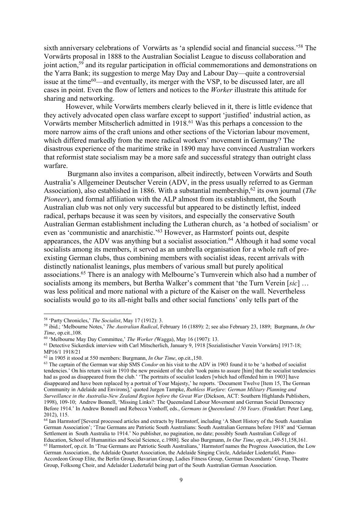sixth anniversary celebrations of Vorwärts as 'a splendid social and financial success.'58 The Vorwärts proposal in 1888 to the Australian Socialist League to discuss collaboration and joint action,<sup>59</sup> and its regular participation in official commemorations and demonstrations on the Yarra Bank; its suggestion to merge May Day and Labour Day—quite a controversial issue at the time<sup>60</sup>—and eventually, its merger with the VSP, to be discussed later, are all cases in point. Even the flow of letters and notices to the *Worker* illustrate this attitude for sharing and networking.

However, while Vorwärts members clearly believed in it, there is little evidence that they actively advocated open class warfare except to support 'justified' industrial action, as Vorwärts member Mitscherlich admitted in 1918.61 Was this perhaps a concession to the more narrow aims of the craft unions and other sections of the Victorian labour movement, which differed markedly from the more radical workers' movement in Germany? The disastrous experience of the maritime strike in 1890 may have convinced Australian workers that reformist state socialism may be a more safe and successful strategy than outright class warfare.

Burgmann also invites a comparison, albeit indirectly, between Vorwärts and South Australia's Allgemeiner Deutscher Verein (ADV, in the press usually referred to as German Association), also established in 1886. With a substantial membership,<sup>62</sup> its own journal (*The Pioneer*), and formal affiliation with the ALP almost from its establishment, the South Australian club was not only very successful but appeared to be distinctly leftist, indeed radical, perhaps because it was seen by visitors, and especially the conservative South Australian German establishment including the Lutheran church, as 'a hotbed of socialism' or even as 'communistic and anarchistic.'63 However, as Harmstorf points out, despite appearances, the ADV was anything but a socialist association.<sup>64</sup> Although it had some vocal socialists among its members, it served as an umbrella organisation for a whole raft of preexisting German clubs, thus combining members with socialist ideas, recent arrivals with distinctly nationalist leanings, plus members of various small but purely apolitical associations. <sup>65</sup> There is an analogy with Melbourne's Turnverein which also had a number of socialists among its members, but Bertha Walker's comment that 'the Turn Verein [*sic*] … was less political and more national with a picture of the Kaiser on the wall. Nevertheless socialists would go to its all-night balls and other social functions' only tells part of the

<sup>58</sup> 'Party Chronicles,' *The Socialist*, May 17 (1912): 3.

<sup>59</sup> ibid.; 'Melbourne Notes,' *The Australian Radical*, February 16 (1889): 2; see also February 23, 1889; Burgmann, *In Our Time*, op.cit.,108.

<sup>60</sup> 'Melbourne May Day Committee,' *The Worker (*Wagga), May 16 (1907): 13.

<sup>61</sup> Detective Sickerdick interview with Carl Mitscherlich, January 9, 1918 [Sozialistischer Verein Vorwärts] 1917-18; MP16/1 1918/21

<sup>62</sup> in 1905 it stood at 550 members: Burgmann, *In Our Time*, op.cit.,150.

<sup>63</sup> The captain of the German war ship SMS *Condor* on his visit to the ADV in 1903 found it to be 'a hotbed of socialist tendencies.' On his return visit in 1910 the new president of the club 'took pains to assure [him] that the socialist tendencies had as good as disappeared from the club.' 'The portraits of socialist leaders [which had offended him in 1903] have disappeared and have been replaced by a portrait of Your Majesty,' he reports. 'Document Twelve [Item 15, The German Community in Adelaide and Environs],' quoted Jurgen Tampke, *Ruthless Warfare: German Military Planning and Surveillance in the Australia-New Zealand Region before the Great War* (Dickson, ACT: Southern Highlands Publishers, 1998), 109-10; Andrew Bonnell, 'Missing Links?: The Queensland Labour Movement and German Social Democracy Before 1914.' In Andrew Bonnell and Rebecca Vonhoff, eds., *Germans in Queensland: 150 Years*. (Frankfurt: Peter Lang, 2012), 115.

<sup>64</sup> Ian Harmstorf [Several processed articles and extracts by Harmstorf, including 'A Short History of the South Australian German Association'; 'True Germans are Patriotic South Australians: South Australian Germans before 1918' and 'German Settlement in South Australia to 1914.' No publisher, no pagination, no date; possibly South Australian College of Education, School of Humanities and Social Science, c.1988]. See also Burgmann, *In Our Time*, op.cit.,149-51,158,161.<br><sup>65</sup> Harmstorf, op.cit. In 'True Germans are Patriotic South Australians,' Harmstorf names the Progress

German Association., the Adelaide Quartet Association, the Adelaide Singing Circle, Adelaider Liedertafel, Piano-Accordeon Group Elite, the Berlin Group, Bavarian Group, Ladies Fitness Group, German Descendants' Group, Theatre Group, Folksong Choir, and Adelaider Liedertafel being part of the South Australian German Association.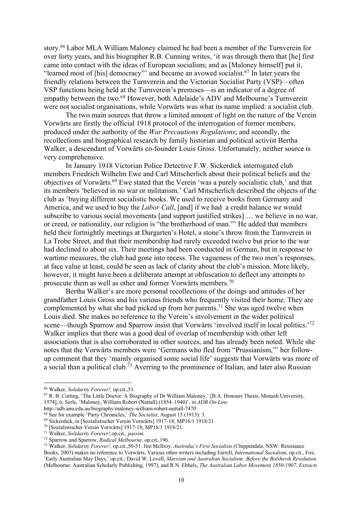story.66 Labor MLA William Maloney claimed he had been a member of the Turnverein for over forty years, and his biographer R.B. Cunning writes, 'it was through them that [he] first came into contact with the ideas of European socialism; and as [Maloney himself] put it, "learned most of [his] democracy"' and became an avowed socialist.67 In later years the friendly relations between the Turnverein and the Victorian Socialist Party (VSP)—often VSP functions being held at the Turnverein's premises—is an indicator of a degree of empathy between the two.68 However, both Adelaide's ADV and Melbourne's Turnverein were not socialist organisations, while Vorwärts was what its name implied: a socialist club.

The two main sources that throw a limited amount of light on the nature of the Verein Vorwärts are firstly the official 1918 protocol of the interrogation of former members, produced under the authority of the *War Precautions Regulations*; and secondly, the recollections and biographical research by family historian and political activist Bertha Walker, a descendant of Vorwärts co-founder Louis Gross. Unfortunately, neither source is very comprehensive.

In January 1918 Victorian Police Detective F.W. Sickerdick interrogated club members Friedrich Wilhelm Ewe and Carl Mitscherlich about their political beliefs and the objectives of Vorwärts.69 Ewe stated that the Verein 'was a purely socialistic club,' and that its members 'believed in no war or militarism.' Carl Mitscherlich described the objects of the club as 'buying different socialistic books. We used to receive books from Germany and America, and we used to buy the *Labor Call*, [and] if we had a credit balance we would subscribe to various social movements [and support justified strikes] … we believe in no war, or creed, or nationality, our religion is "the brotherhood of man."' He added that members held their fortnightly meetings at Durgarten's Hotel, a stone's throw from the Turnverein in La Trobe Street, and that their membership had rarely exceeded twelve but prior to the war had declined to about six. Their meetings had been conducted in German, but in response to wartime measures, the club had gone into recess. The vagueness of the two men's responses, at face value at least, could be seen as lack of clarity about the club's mission. More likely, however, it might have been a deliberate attempt at obfuscation to deflect any attempts to prosecute them as well as other and former Vorwärts members.70

Bertha Walker's are more personal recollections of the doings and attitudes of her grandfather Louis Gross and his various friends who frequently visited their home. They are complemented by what she had picked up from her parents.<sup>71</sup> She was aged twelve when Louis died. She makes no reference to the Verein's involvement in the wider political scene—though Sparrow and Sparrow insist that Vorwärts 'involved itself in local politics.'72 Walker implies that there was a good deal of overlap of membership with other left associations that is also corroborated in other sources, and has already been noted. While she notes that the Vorwärts members were 'Germans who fled from "Prussianism,"' her followup comment that they 'mainly organised some social life' suggests that Vorwärts was more of a social than a political club.73 Averring to the prominence of Italian, and later also Russian

<sup>66</sup> Walker, *Solidarity Forever!,* op.cit.,51.

<sup>&</sup>lt;sup>67</sup> R. B. Cutting, 'The Little Doctor: A Biography of Dr William Maloney.' [B.A. Honours Thesis, Monash University, 1974], 6; Serle, 'Maloney, William Robert (Nuttall) (1854–1940)', in *ADB On-Line*

<sup>&</sup>lt;sup>68</sup> See for example 'Party Chronicles,' *The Socialist*, August 15 (1913): 3.

<sup>69</sup> Sickerdick, in [Sozialistischer Verein Vorwärts] 1917-18; MP16/1 1918/21.

<sup>70</sup> [Sozialistischer Verein Vorwärts] 1917-18; MP16/1 1918/21.

<sup>71</sup> Walker, *Solidarity Forever!,*op.cit., *passim*.

<sup>72</sup> Sparrow and Sparrow, *Radical Melbourne*, op.cit.,196.

<sup>73</sup> Walker, *Solidarity Forever!,* op.cit.,50-51. Jim McIlroy, *Australia's First Socialists* (Chippendale, NSW: Resistance Books, 2003) makes no reference to Vorwärts. Various other writers including Farrell, *International Socialism*, op.cit., Fox, 'Early Australian May Days,' op.cit.; David W. Lovell, *Marxism and Australian Socialism: Before the Bolshevik Revolution* (Melbourne: Australian Scholarly Publishing, 1997), and R.N. Ebbels, *The Australian Labor Movement 1850-1907, Extracts*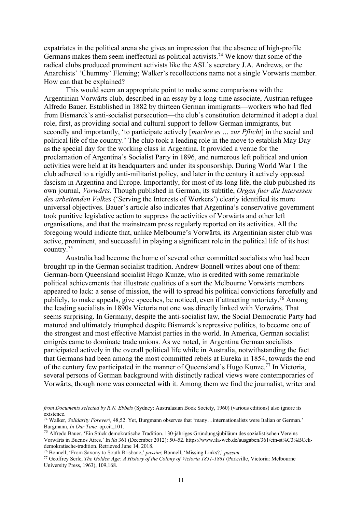expatriates in the political arena she gives an impression that the absence of high-profile Germans makes them seem ineffectual as political activists.74 We know that some of the radical clubs produced prominent activists like the ASL's secretary J.A. Andrews, or the Anarchists' 'Chummy' Fleming; Walker's recollections name not a single Vorwärts member. How can that be explained?

This would seem an appropriate point to make some comparisons with the Argentinian Vorwärts club, described in an essay by a long-time associate, Austrian refugee Alfredo Bauer. Established in 1882 by thirteen German immigrants—workers who had fled from Bismarck's anti-socialist persecution—the club's constitution determined it adopt a dual role, first, as providing social and cultural support to fellow German immigrants, but secondly and importantly, 'to participate actively [*machte es … zur Pflicht*] in the social and political life of the country.' The club took a leading role in the move to establish May Day as the special day for the working class in Argentina. It provided a venue for the proclamation of Argentina's Socialist Party in 1896, and numerous left political and union activities were held at its headquarters and under its sponsorship. During World War 1 the club adhered to a rigidly anti-militarist policy, and later in the century it actively opposed fascism in Argentina and Europe. Importantly, for most of its long life, the club published its own journal, *Vorwärts.* Though published in German, its subtitle, *Organ fuer die Interessen des arbeitenden Volkes* ('Serving the Interests of Workers') clearly identified its more universal objectives. Bauer's article also indicates that Argentina's conservative government took punitive legislative action to suppress the activities of Vorwärts and other left organisations, and that the mainstream press regularly reported on its activities. All the foregoing would indicate that, unlike Melbourne's Vorwärts, its Argentinian sister club was active, prominent, and successful in playing a significant role in the political life of its host country.75

Australia had become the home of several other committed socialists who had been brought up in the German socialist tradition. Andrew Bonnell writes about one of them: German-born Queensland socialist Hugo Kunze, who is credited with some remarkable political achievements that illustrate qualities of a sort the Melbourne Vorwärts members appeared to lack: a sense of mission, the will to spread his political convictions forcefully and publicly, to make appeals, give speeches, be noticed, even if attracting notoriety.<sup>76</sup> Among the leading socialists in 1890s Victoria not one was directly linked with Vorwärts. That seems surprising. In Germany, despite the anti-socialist law, the Social Democratic Party had matured and ultimately triumphed despite Bismarck's repressive politics, to become one of the strongest and most effective Marxist parties in the world. In America, German socialist emigrés came to dominate trade unions. As we noted, in Argentina German socialists participated actively in the overall political life while in Australia, notwithstanding the fact that Germans had been among the most committed rebels at Eureka in 1854, towards the end of the century few participated in the manner of Queensland's Hugo Kunze.77 In Victoria, several persons of German background with distinctly radical views were contemporaries of Vorwärts, though none was connected with it. Among them we find the journalist, writer and

*from Documents selected by R.N. Ebbels* (Sydney: Australasian Book Society, 1960) (various editions) also ignore its existence.

<sup>74</sup> Walker, *Solidarity Forever!,* 48,52. Yet, Burgmann observes that 'many…internationalists were Italian or German.' Burgmann, *In Our Time,* op.cit.,101.

<sup>75</sup> Alfredo Bauer. 'Ein Stück demokratische Tradition. 130-jähriges Gründungsjubiläum des sozialistischen Vereins Vorwärts in Buenos Aires.' In *ila* 361 (December 2012): 50–52. https://www.ila-web.de/ausgaben/361/ein-st%C3%BCckdemokratische-tradition. Retrieved June 14, 2018.

<sup>76</sup> Bonnell, 'From Saxony to South Brisbane,' *passim*; Bonnell, 'Missing Links?,' *passim*.

<sup>77</sup> Geoffrey Serle, *The Golden Age: A History of the Colony of Victoria 1851-1861* (Parkville, Victoria: Melbourne University Press, 1963), 109,168.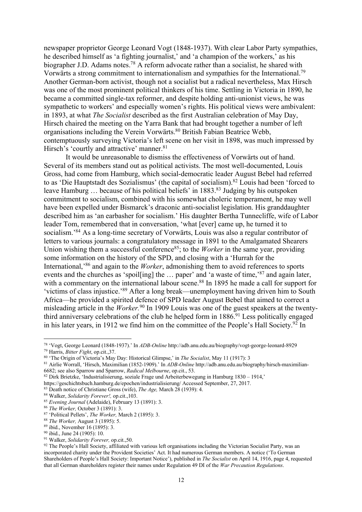newspaper proprietor George Leonard Vogt (1848-1937). With clear Labor Party sympathies, he described himself as 'a fighting journalist,' and 'a champion of the workers,' as his biographer J.D. Adams notes.<sup>78</sup> A reform advocate rather than a socialist, he shared with Vorwärts a strong commitment to internationalism and sympathies for the International.79 Another German-born activist, though not a socialist but a radical nevertheless, Max Hirsch was one of the most prominent political thinkers of his time. Settling in Victoria in 1890, he became a committed single-tax reformer, and despite holding anti-unionist views, he was sympathetic to workers' and especially women's rights. His political views were ambivalent: in 1893, at what *The Socialist* described as the first Australian celebration of May Day, Hirsch chaired the meeting on the Yarra Bank that had brought together a number of left organisations including the Verein Vorwärts.<sup>80</sup> British Fabian Beatrice Webb, contemptuously surveying Victoria's left scene on her visit in 1898, was much impressed by Hirsch's 'courtly and attractive' manner.<sup>81</sup>

It would be unreasonable to dismiss the effectiveness of Vorwärts out of hand. Several of its members stand out as political activists. The most well-documented, Louis Gross, had come from Hamburg, which social-democratic leader August Bebel had referred to as 'Die Hauptstadt des Sozialismus' (the capital of socialism).<sup>82</sup> Louis had been 'forced to leave Hamburg ... because of his political beliefs' in 1883.<sup>83</sup> Judging by his outspoken commitment to socialism, combined with his somewhat choleric temperament, he may well have been expelled under Bismarck's draconic anti-socialist legislation. His granddaughter described him as 'an earbasher for socialism.' His daughter Bertha Tunnecliffe, wife of Labor leader Tom, remembered that in conversation, 'what [ever] came up, he turned it to socialism.'84 As a long-time secretary of Vorwärts, Louis was also a regular contributor of letters to various journals: a congratulatory message in 1891 to the Amalgamated Shearers Union wishing them a successful conference<sup>85</sup>; to the *Worker* in the same year, providing some information on the history of the SPD, and closing with a 'Hurrah for the International,'86 and again to the *Worker*, admonishing them to avoid references to sports events and the churches as 'spoil[ing] the … paper' and 'a waste of time,'87 and again later, with a commentary on the international labour scene.<sup>88</sup> In 1895 he made a call for support for 'victims of class injustice.'89 After a long break—unemployment having driven him to South Africa—he provided a spirited defence of SPD leader August Bebel that aimed to correct a misleading article in the *Worker.*<sup>90</sup> In 1909 Louis was one of the guest speakers at the twentythird anniversary celebrations of the club he helped form in 1886.<sup>91</sup> Less politically engaged in his later years, in 1912 we find him on the committee of the People's Hall Society.<sup>92</sup> In

<sup>78</sup> 'Vogt, George Leonard (1848-1937).' In *ADB-Online* http://adb.anu.edu.au/biography/vogt-george-leonard-8929 <sup>79</sup> Harris, *Bitter Fight*, op.cit.,37.

<sup>80</sup> 'The Origin of Victoria's May Day: Historical Glimpse,' in *The Socialist*, May 11 (1917): 3

<sup>81</sup> Airlie Worrall, 'Hirsch, Maximilian (1852-1909).' In *ADB-Online* http://adb.anu.edu.au/biography/hirsch-maximilian-6682; see also Sparrow and Sparrow, *Radical Melbourne*, op.cit., 53.

<sup>82</sup> Dirk Brietzke, 'Industrialisierung, soziale Frage und Arbeiterbewegung in Hamburg 1830 – 1914,'

https://geschichtsbuch.hamburg.de/epochen/industrialisierung/ Accessed September, 27, 2017.

<sup>83</sup> Death notice of Christiane Gross (wife), *The Age,* March 28 (1939): 4.

<sup>84</sup> Walker, *Solidarity Forever!,* op.cit.,103.

<sup>85</sup> *Evening Journal* (Adelaide), February 13 (1891): 3.

<sup>86</sup> *The Worker,* October 3 (1891): 3.

<sup>87</sup> 'Political Pellets', *The Worker,* March 2 (1895): 3.

<sup>88</sup> *The Worker,* August 3 (1895): 5.

<sup>89</sup> ibid., November 16 (1895): 3.

<sup>90</sup> ibid., June 24 (1905): 10.

<sup>91</sup> Walker, *Solidarity Forever,* op.cit.,50.

<sup>92</sup> The People's Hall Society, affiliated with various left organisations including the Victorian Socialist Party, was an incorporated charity under the Provident Societies' Act. It had numerous German members. A notice ('To German Shareholders of People's Hall Society: Important Notice'), published in *The Socialist* on April 14, 1916, page 4, requested that all German shareholders register their names under Regulation 49 DI of the *War Precaution Regulations*.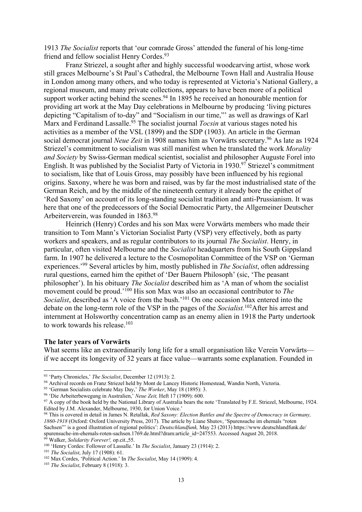1913 *The Socialist* reports that 'our comrade Gross' attended the funeral of his long-time friend and fellow socialist Henry Cordes.<sup>93</sup>

Franz Striezel, a sought after and highly successful woodcarving artist, whose work still graces Melbourne's St Paul's Cathedral, the Melbourne Town Hall and Australia House in London among many others, and who today is represented at Victoria's National Gallery, a regional museum, and many private collections, appears to have been more of a political support worker acting behind the scenes.<sup>94</sup> In 1895 he received an honourable mention for providing art work at the May Day celebrations in Melbourne by producing 'living pictures depicting "Capitalism of to-day" and "Socialism in our time,"' as well as drawings of Karl Marx and Ferdinand Lassalle. <sup>95</sup> The socialist journal *Tocsin* at various stages noted his activities as a member of the VSL (1899) and the SDP (1903). An article in the German social democrat journal *Neue Zeit* in 1908 names him as Vorwärts secretary.<sup>96</sup> As late as 1924 Striezel's commitment to socialism was still manifest when he translated the work *Morality and Society* by Swiss-German medical scientist, socialist and philosopher Auguste Forel into English. It was published by the Socialist Party of Victoria in 1930.<sup>97</sup> Striezel's commitment to socialism, like that of Louis Gross, may possibly have been influenced by his regional origins. Saxony, where he was born and raised, was by far the most industrialised state of the German Reich, and by the middle of the nineteenth century it already bore the epithet of 'Red Saxony' on account of its long-standing socialist tradition and anti-Prussianism. It was here that one of the predecessors of the Social Democratic Party, the Allgemeiner Deutscher Arbeiterverein, was founded in 1863.98

Heinrich (Henry) Cordes and his son Max were Vorwärts members who made their transition to Tom Mann's Victorian Socialist Party (VSP) very effectively, both as party workers and speakers, and as regular contributors to its journal *The Socialist*. Henry, in particular, often visited Melbourne and the *Socialist* headquarters from his South Gippsland farm. In 1907 he delivered a lecture to the Cosmopolitan Committee of the VSP on 'German experiences.'99 Several articles by him, mostly published in *The Socialist*, often addressing rural questions, earned him the epithet of 'Der Bauern Philosoph' (sic, 'The peasant philosopher'). In his obituary *The Socialist* described him as 'A man of whom the socialist movement could be proud.'100 His son Max was also an occasional contributor to *The Socialist*, described as 'A voice from the bush.'101 On one occasion Max entered into the debate on the long-term role of the VSP in the pages of the *Socialist.*102After his arrest and internment at Holsworthy concentration camp as an enemy alien in 1918 the Party undertook to work towards his release. $103$ 

## **The later years of Vorwärts**

What seems like an extraordinarily long life for a small organisation like Verein Vorwärts if we accept its longevity of 32 years at face value—warrants some explanation. Founded in

<sup>93</sup> 'Party Chronicles,' *The Socialist*, December 12 (1913): 2.

<sup>94</sup> Archival records on Franz Striezel held by Mont de Lancey Historic Homestead, Wandin North, Victoria.

<sup>95</sup> 'German Socialists celebrate May Day,' *The Worker*, May 18 (1895): 3.

<sup>96</sup> 'Die Arbeiterbewegung in Australien,' *Neue Zeit,* Heft 17 (1909): 600.

<sup>&</sup>lt;sup>97</sup> A copy of the book held by the National Library of Australia bears the note 'Translated by F.E. Striezel, Melbourne, 1924. Edited by J.M. Alexander, Melbourne, 1930, for Union Voice.'

<sup>98</sup> This is covered in detail in James N. Retallak, *Red Saxony: Election Battles and the Spectre of Democracy in Germany, 1860-1918* (Oxford: Oxford University Press, 2017). The article by Liane Shutov, 'Spurensuche im ehemals "roten Sachsen"' is a good illustration of regional politics': *Deutschlandfunk,* May 23 (2013) https://www.deutschlandfunk.de/ spurensuche-im-ehemals-roten-sachsen.1769.de.html?dram:article\_id=247553. Accessed August 20, 2018. <sup>99</sup> Walker, *Solidarity Forever!,* op.cit.,55.

<sup>100</sup> 'Henry Cordes: Follower of Lassalle.' In *The Socialist*, January 23 (1914): 2.

<sup>101</sup> *The Socialist*, July 17 (1908): 61.

<sup>102</sup> Max Cordes, 'Political Action.' In *The Socialist*, May 14 (1909): 4.

<sup>103</sup> *The Socialist*, February 8 (1918): 3.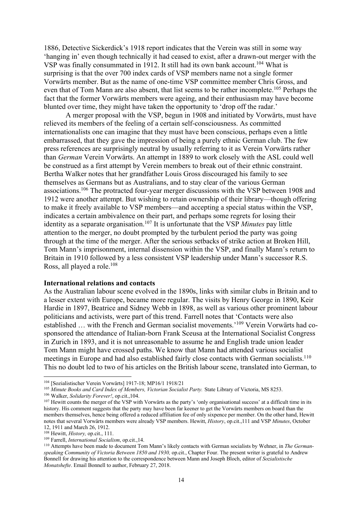1886, Detective Sickerdick's 1918 report indicates that the Verein was still in some way 'hanging in' even though technically it had ceased to exist, after a drawn-out merger with the VSP was finally consummated in 1912. It still had its own bank account.<sup>104</sup> What is surprising is that the over 700 index cards of VSP members name not a single former Vorwärts member. But as the name of one-time VSP committee member Chris Gross, and even that of Tom Mann are also absent, that list seems to be rather incomplete.<sup>105</sup> Perhaps the fact that the former Vorwärts members were ageing, and their enthusiasm may have become blunted over time, they might have taken the opportunity to 'drop off the radar.'

A merger proposal with the VSP, begun in 1908 and initiated by Vorwärts, must have relieved its members of the feeling of a certain self-consciousness. As committed internationalists one can imagine that they must have been conscious, perhaps even a little embarrassed, that they gave the impression of being a purely ethnic German club. The few press references are surprisingly neutral by usually referring to it as Verein Vorwärts rather than *German* Verein Vorwärts. An attempt in 1889 to work closely with the ASL could well be construed as a first attempt by Verein members to break out of their ethnic constraint. Bertha Walker notes that her grandfather Louis Gross discouraged his family to see themselves as Germans but as Australians, and to stay clear of the various German associations.106 The protracted four-year merger discussions with the VSP between 1908 and 1912 were another attempt. But wishing to retain ownership of their library—though offering to make it freely available to VSP members—and accepting a special status within the VSP, indicates a certain ambivalence on their part, and perhaps some regrets for losing their identity as a separate organisation.107 It is unfortunate that the VSP *Minutes* pay little attention to the merger, no doubt prompted by the turbulent period the party was going through at the time of the merger. After the serious setbacks of strike action at Broken Hill, Tom Mann's imprisonment, internal dissension within the VSP, and finally Mann's return to Britain in 1910 followed by a less consistent VSP leadership under Mann's successor R.S. Ross, all played a role.<sup>108</sup>

#### **International relations and contacts**

As the Australian labour scene evolved in the 1890s, links with similar clubs in Britain and to a lesser extent with Europe, became more regular. The visits by Henry George in 1890, Keir Hardie in 1897, Beatrice and Sidney Webb in 1898, as well as various other prominent labour politicians and activists, were part of this trend. Farrell notes that 'Contacts were also established ... with the French and German socialist movements.'<sup>109</sup> Verein Vorwärts had cosponsored the attendance of Italian-born Frank Sceusa at the International Socialist Congress in Zurich in 1893, and it is not unreasonable to assume he and English trade union leader Tom Mann might have crossed paths. We know that Mann had attended various socialist meetings in Europe and had also established fairly close contacts with German socialists.<sup>110</sup> This no doubt led to two of his articles on the British labour scene, translated into German, to

<sup>104</sup> [Sozialistischer Verein Vorwärts] 1917-18; MP16/1 1918/21

<sup>105</sup> *Minute Books and Card Index of Members, Victorian Socialist Party.* State Library of Victoria, MS 8253. 106 Walker, *Solidarity Forever!*, op.cit.,104.

<sup>&</sup>lt;sup>107</sup> Hewitt counts the merger of the VSP with Vorwärts as the party's 'only organisational success' at a difficult time in its history. His comment suggests that the party may have been far keener to get the Vorwärts members on board than the members themselves, hence being offered a reduced affiliation fee of only sixpence per member. On the other hand, Hewitt notes that several Vorwärts members were already VSP members. Hewitt, *History*, op.cit.,111 and VSP *Minutes*, October 12, 1911 and March 26, 1912.

<sup>108</sup> Hewitt, *History,* op.cit., 111.

<sup>109</sup> Farrell, *International Socialism*, op.cit.,14.

<sup>110</sup> Attempts have been made to document Tom Mann's likely contacts with German socialists by Wehner, in *The Germanspeaking Community of Victoria Between 1850 and 1930,* op.cit., Chapter Four. The present writer is grateful to Andrew Bonnell for drawing his attention to the correspondence between Mann and Joseph Bloch, editor of *Sozialistische Monatshefte*. Email Bonnell to author, February 27, 2018.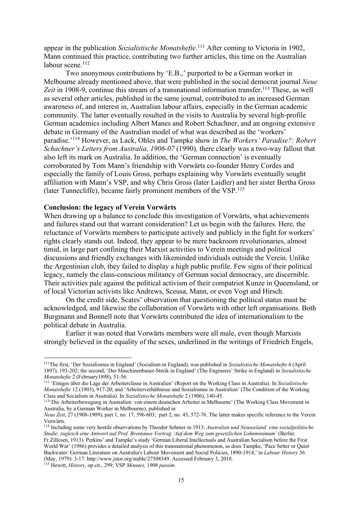appear in the publication *Sozialistische Monatshefte*. <sup>111</sup> After coming to Victoria in 1902, Mann continued this practice, contributing two further articles, this time on the Australian labour scene.<sup>112</sup>

Two anonymous contributions by 'E.B.,' purported to be a German worker in Melbourne already mentioned above, that were published in the social democrat journal *Neue*  Zeit in 1908-9, continue this stream of a transnational information transfer.<sup>113</sup> These, as well as several other articles, published in the same journal, contributed to an increased German awareness of, and interest in, Australian labour affairs, especially in the German academic community. The latter eventually resulted in the visits to Australia by several high-profile German academics including Albert Manes and Robert Schachner, and an ongoing extensive debate in Germany of the Australian model of what was described as the 'workers' paradise.'114 However, as Lack, Ohles and Tampke show in *The Workers' Paradise?: Robert Schachner's Letters from Australia, 1906-07* (1990)*,* there clearly was a two-way fallout that also left its mark on Australia. In addition, the 'German connection' is eventually corroborated by Tom Mann's friendship with Vorwärts co-founder Henry Cordes and especially the family of Louis Gross, perhaps explaining why Vorwärts eventually sought affiliation with Mann's VSP, and why Chris Gross (later Laidler) and her sister Bertha Gross (later Tunnecliffe), became fairly prominent members of the VSP.115

#### **Conclusion: the legacy of Verein Vorwärts**

When drawing up a balance to conclude this investigation of Vorwärts, what achievements and failures stand out that warrant consideration? Let us begin with the failures. Here, the reluctance of Vorwärts members to participate actively and publicly in the fight for workers' rights clearly stands out. Indeed, they appear to be mere backroom revolutionaries, almost timid, in large part confining their Marxist activities to Verein meetings and political discussions and friendly exchanges with likeminded individuals outside the Verein. Unlike the Argentinian club, they failed to display a high public profile. Few signs of their political legacy, namely the class-conscious militancy of German social democracy, are discernible. Their activities pale against the political activism of their compatriot Kunze in Queensland, or of local Victorian activists like Andrews, Sceusa, Mann, or even Vogt and Hirsch.

On the credit side, Scates' observation that questioning the political status must be acknowledged, and likewise the collaboration of Vorwärts with other left organisations. Both Burgmann and Bonnell note that Vorwärts contributed the idea of internationalism to the political debate in Australia.

Earlier it was noted that Vorwärts members were all male, even though Marxists strongly believed in the equality of the sexes, underlined in the writings of Friedrich Engels,

<sup>115</sup> Hewitt, *History*, op.cit., 299; VSP *Minutes,* 1908 *passim.*

<sup>111</sup>The first, 'Der Sozialismus in England' (Socialism in England), was published in *Sozialistische Monatshefte* 4 (April 1897), 193-202; the second, 'Der Maschinenbauer-Streik in England' (The Engineers' Strike in England) in *Sozialistische Monatshefte* 2 (February1898), 51-56.

<sup>112</sup> 'Einiges über die Lage der Arbeiterclasse in Australien' (Report on the Working Class in Australia). In *Sozialistische Monatshefte* 12 (1903), 917-20; and 'Arbeiterverhältnisse und Sozialismus in Australien' (The Condition of the Working Class and Socialism in Australia). In *Sozialistische Monatshefte* 2 (1906), 140-45.

<sup>113&#</sup>x27;Die Arbeiterbewegung in Australien: von einem deutschen Arbeiter in Melbourne' (The Working Class Movement in Australia, by a German Worker in Melbourne), published in

*Neue Zeit*, 27 (1908-1909), part 1, no. 17, 596-603; part 2, no. 43, 572-76. The latter makes specific reference to the Verein Vorwärts.

<sup>114</sup> Including some very hostile observations by Theodor Sehmer in 1913: *Australien und Neuseeland: eine sozialpolitische Studie, zugleich eine Antwort auf Prof. Brentanos Vortrag 'Auf dem Weg zum gesetzlichen Lohnminimum'* (Berlin: Fr.Zillesen, 1913). Perkins' and Tampke's study 'German Liberal Intellectuals and Australian Socialism before the First World War' (1986) provides a detailed analysis of this transnational phenomenon, as does Tampke, 'Pace Setter or Quiet Backwater: German Literature on Australia's Labour Movement and Social Policies, 1890-1914,' in *Labour History* 36 (May, 1979): 3-17. http://www.jstor.org/stable/27508349. Accessed February 3, 2018.